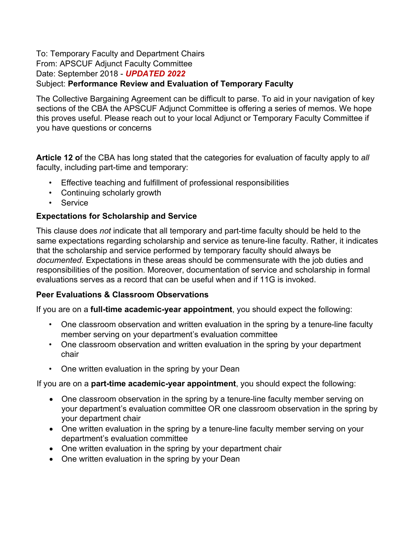## To: Temporary Faculty and Department Chairs From: APSCUF Adjunct Faculty Committee Date: September 2018 - *UPDATED 2022* Subject: **Performance Review and Evaluation of Temporary Faculty**

The Collective Bargaining Agreement can be difficult to parse. To aid in your navigation of key sections of the CBA the APSCUF Adjunct Committee is offering a series of memos. We hope this proves useful. Please reach out to your local Adjunct or Temporary Faculty Committee if you have questions or concerns

**Article 12 o**f the CBA has long stated that the categories for evaluation of faculty apply to *all* faculty, including part-time and temporary:

- Effective teaching and fulfillment of professional responsibilities
- Continuing scholarly growth
- Service

## **Expectations for Scholarship and Service**

This clause does *not* indicate that all temporary and part-time faculty should be held to the same expectations regarding scholarship and service as tenure-line faculty. Rather, it indicates that the scholarship and service performed by temporary faculty should always be *documented*. Expectations in these areas should be commensurate with the job duties and responsibilities of the position. Moreover, documentation of service and scholarship in formal evaluations serves as a record that can be useful when and if 11G is invoked.

## **Peer Evaluations & Classroom Observations**

If you are on a **full-time academic-year appointment**, you should expect the following:

- One classroom observation and written evaluation in the spring by a tenure-line faculty member serving on your department's evaluation committee
- One classroom observation and written evaluation in the spring by your department chair
- One written evaluation in the spring by your Dean

If you are on a **part-time academic-year appointment**, you should expect the following:

- One classroom observation in the spring by a tenure-line faculty member serving on your department's evaluation committee OR one classroom observation in the spring by your department chair
- One written evaluation in the spring by a tenure-line faculty member serving on your department's evaluation committee
- One written evaluation in the spring by your department chair
- One written evaluation in the spring by your Dean